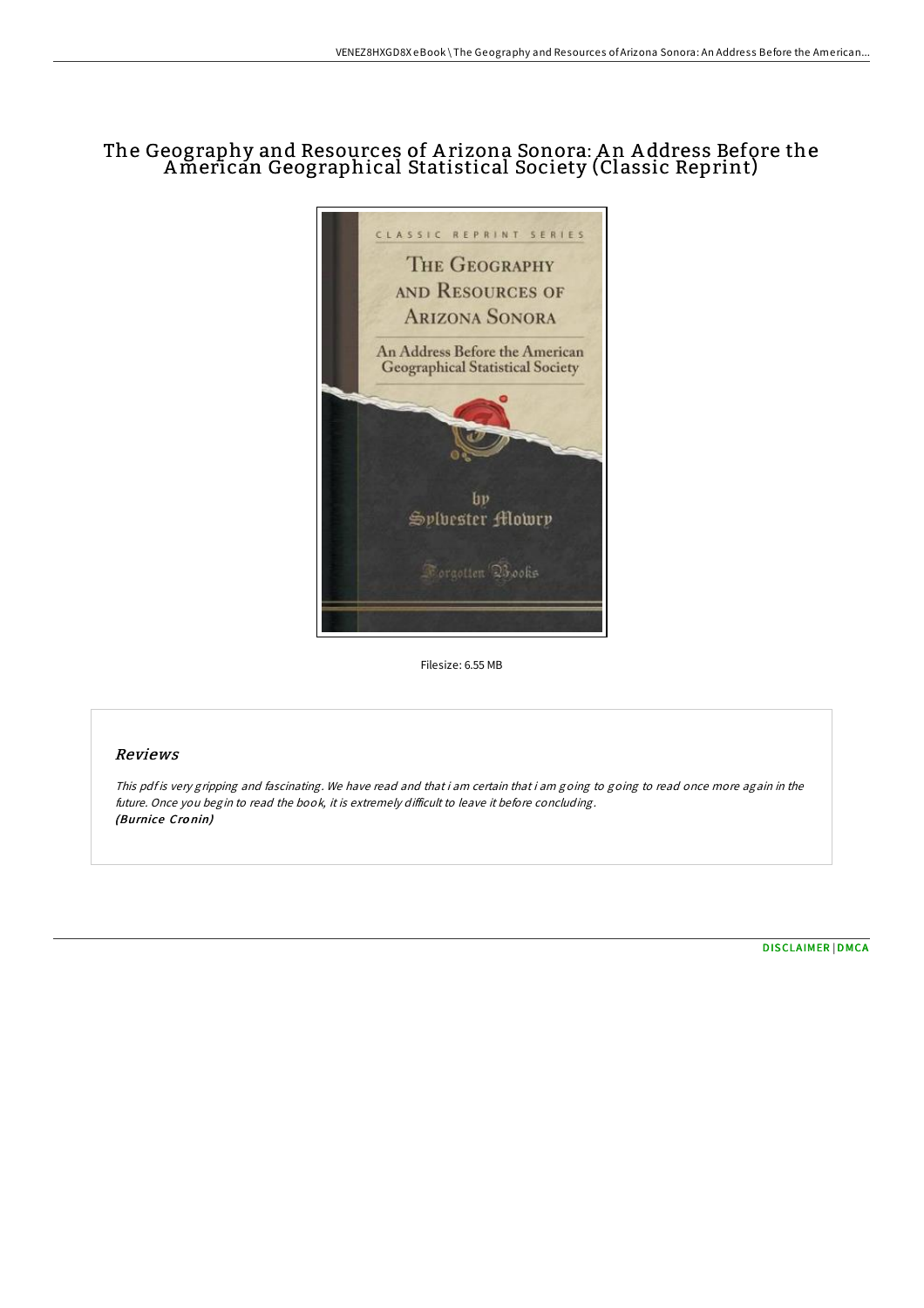# The Geography and Resources of A rizona Sonora: A n A ddress Before the American Geographical Statistical Society (Classic Reprint)



Filesize: 6.55 MB

## Reviews

This pdf is very gripping and fascinating. We have read and that i am certain that i am going to going to read once more again in the future. Once you begin to read the book, it is extremely difficult to leave it before concluding. (Burnice Cro nin)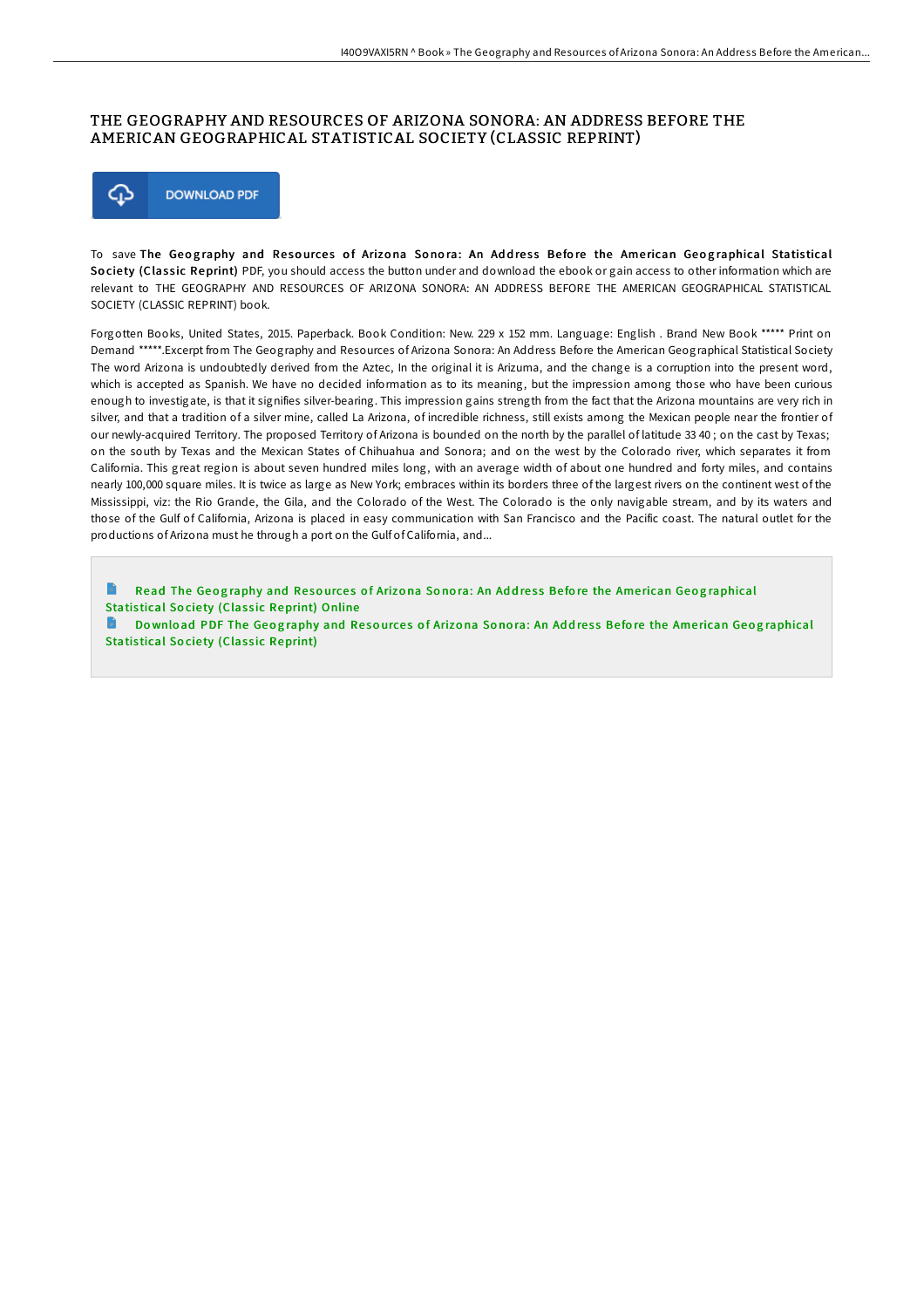#### THE GEOGRAPHY AND RESOURCES OF ARIZONA SONORA: AN ADDRESS BEFORE THE AMERICAN GEOGRAPHICAL STATISTICAL SOCIETY (CLASSIC REPRINT)



To save The Geography and Resources of Arizona Sonora: An Address Before the American Geographical Statistical Society (Classic Reprint) PDF, you should access the button under and download the ebook or gain access to other information which are relevant to THE GEOGRAPHY AND RESOURCES OF ARIZONA SONORA: AN ADDRESS BEFORE THE AMERICAN GEOGRAPHICAL STATISTICAL SOCIETY (CLASSIC REPRINT) book.

Forgotten Books, United States, 2015. Paperback. Book Condition: New. 229 x 152 mm. Language: English . Brand New Book \*\*\*\*\* Print on Demand \*\*\*\*\*.Excerpt from The Geography and Resources of Arizona Sonora: An Address Before the American Geographical Statistical Society The word Arizona is undoubtedly derived from the Aztec, In the original it is Arizuma, and the change is a corruption into the present word, which is accepted as Spanish. We have no decided information as to its meaning, but the impression among those who have been curious enough to investigate, is that it signifies silver-bearing. This impression gains strength from the fact that the Arizona mountains are very rich in silver, and that a tradition of a silver mine, called La Arizona, of incredible richness, still exists among the Mexican people near the frontier of our newly-acquired Territory. The proposed Territory of Arizona is bounded on the north by the parallel of latitude 33 40 ; on the cast by Texas; on the south by Texas and the Mexican States of Chihuahua and Sonora; and on the west by the Colorado river, which separates it from California. This great region is about seven hundred miles long, with an average width of about one hundred and forty miles, and contains nearly 100,000 square miles. It is twice as large as New York; embraces within its borders three of the largest rivers on the continent west of the Mississippi, viz: the Rio Grande, the Gila, and the Colorado of the West. The Colorado is the only navigable stream, and by its waters and those of the Gulf of California, Arizona is placed in easy communication with San Francisco and the Pacific coast. The natural outlet for the productions of Arizona must he through a port on the Gulf of California, and...

Read The Geography and Resources of Arizona Sonora: An Address Before the American Geog[raphical](http://almighty24.tech/the-geography-and-resources-of-arizona-sonora-an.html) Statistical Society (Classic Reprint) Online

Download PDF The Geography and Resources of Arizona Sonora: An Address Before the American Geog[raphical](http://almighty24.tech/the-geography-and-resources-of-arizona-sonora-an.html) Statistical Society (Classic Reprint)